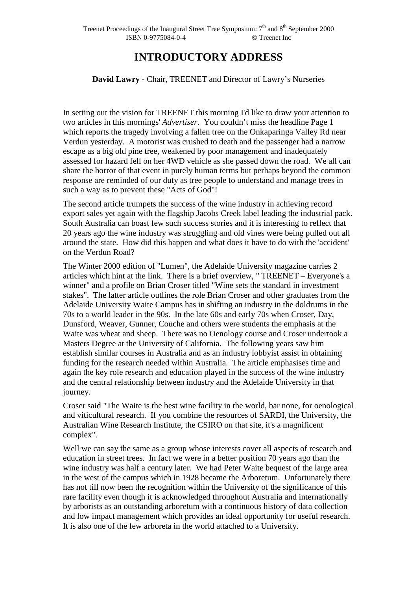## **INTRODUCTORY ADDRESS**

## **David Lawry** - Chair, TREENET and Director of Lawry's Nurseries

In setting out the vision for TREENET this morning I'd like to draw your attention to two articles in this mornings' *Advertiser*. You couldn't miss the headline Page 1 which reports the tragedy involving a fallen tree on the Onkaparinga Valley Rd near Verdun yesterday. A motorist was crushed to death and the passenger had a narrow escape as a big old pine tree, weakened by poor management and inadequately assessed for hazard fell on her 4WD vehicle as she passed down the road. We all can share the horror of that event in purely human terms but perhaps beyond the common response are reminded of our duty as tree people to understand and manage trees in such a way as to prevent these "Acts of God"!

The second article trumpets the success of the wine industry in achieving record export sales yet again with the flagship Jacobs Creek label leading the industrial pack. South Australia can boast few such success stories and it is interesting to reflect that 20 years ago the wine industry was struggling and old vines were being pulled out all around the state. How did this happen and what does it have to do with the 'accident' on the Verdun Road?

The Winter 2000 edition of "Lumen", the Adelaide University magazine carries 2 articles which hint at the link. There is a brief overview, " TREENET – Everyone's a winner" and a profile on Brian Croser titled "Wine sets the standard in investment stakes". The latter article outlines the role Brian Croser and other graduates from the Adelaide University Waite Campus has in shifting an industry in the doldrums in the 70s to a world leader in the 90s. In the late 60s and early 70s when Croser, Day, Dunsford, Weaver, Gunner, Couche and others were students the emphasis at the Waite was wheat and sheep. There was no Oenology course and Croser undertook a Masters Degree at the University of California. The following years saw him establish similar courses in Australia and as an industry lobbyist assist in obtaining funding for the research needed within Australia. The article emphasises time and again the key role research and education played in the success of the wine industry and the central relationship between industry and the Adelaide University in that journey.

Croser said "The Waite is the best wine facility in the world, bar none, for oenological and viticultural research. If you combine the resources of SARDI, the University, the Australian Wine Research Institute, the CSIRO on that site, it's a magnificent complex".

Well we can say the same as a group whose interests cover all aspects of research and education in street trees. In fact we were in a better position 70 years ago than the wine industry was half a century later. We had Peter Waite bequest of the large area in the west of the campus which in 1928 became the Arboretum. Unfortunately there has not till now been the recognition within the University of the significance of this rare facility even though it is acknowledged throughout Australia and internationally by arborists as an outstanding arboretum with a continuous history of data collection and low impact management which provides an ideal opportunity for useful research. It is also one of the few arboreta in the world attached to a University.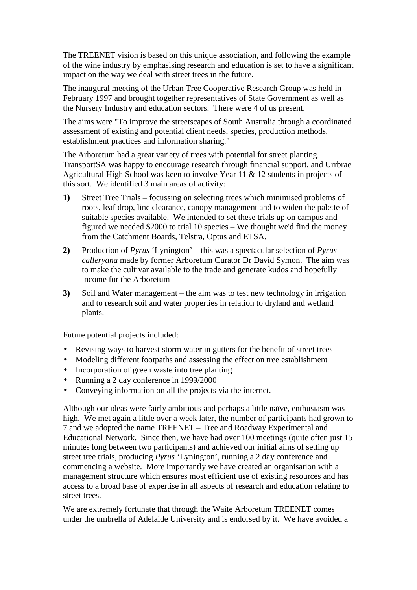The TREENET vision is based on this unique association, and following the example of the wine industry by emphasising research and education is set to have a significant impact on the way we deal with street trees in the future.

The inaugural meeting of the Urban Tree Cooperative Research Group was held in February 1997 and brought together representatives of State Government as well as the Nursery Industry and education sectors. There were 4 of us present.

The aims were "To improve the streetscapes of South Australia through a coordinated assessment of existing and potential client needs, species, production methods, establishment practices and information sharing."

The Arboretum had a great variety of trees with potential for street planting. TransportSA was happy to encourage research through financial support, and Urrbrae Agricultural High School was keen to involve Year 11 & 12 students in projects of this sort. We identified 3 main areas of activity:

- **1)** Street Tree Trials focussing on selecting trees which minimised problems of roots, leaf drop, line clearance, canopy management and to widen the palette of suitable species available. We intended to set these trials up on campus and figured we needed \$2000 to trial 10 species – We thought we'd find the money from the Catchment Boards, Telstra, Optus and ETSA.
- **2)** Production of *Pyrus* 'Lynington' this was a spectacular selection of *Pyrus calleryana* made by former Arboretum Curator Dr David Symon. The aim was to make the cultivar available to the trade and generate kudos and hopefully income for the Arboretum
- **3)** Soil and Water management the aim was to test new technology in irrigation and to research soil and water properties in relation to dryland and wetland plants.

Future potential projects included:

- Revising ways to harvest storm water in gutters for the benefit of street trees
- Modeling different footpaths and assessing the effect on tree establishment
- Incorporation of green waste into tree planting
- Running a 2 day conference in 1999/2000
- Conveying information on all the projects via the internet.

Although our ideas were fairly ambitious and perhaps a little naïve, enthusiasm was high. We met again a little over a week later, the number of participants had grown to 7 and we adopted the name TREENET – Tree and Roadway Experimental and Educational Network. Since then, we have had over 100 meetings (quite often just 15 minutes long between two participants) and achieved our initial aims of setting up street tree trials, producing *Pyrus* 'Lynington', running a 2 day conference and commencing a website. More importantly we have created an organisation with a management structure which ensures most efficient use of existing resources and has access to a broad base of expertise in all aspects of research and education relating to street trees.

We are extremely fortunate that through the Waite Arboretum TREENET comes under the umbrella of Adelaide University and is endorsed by it. We have avoided a